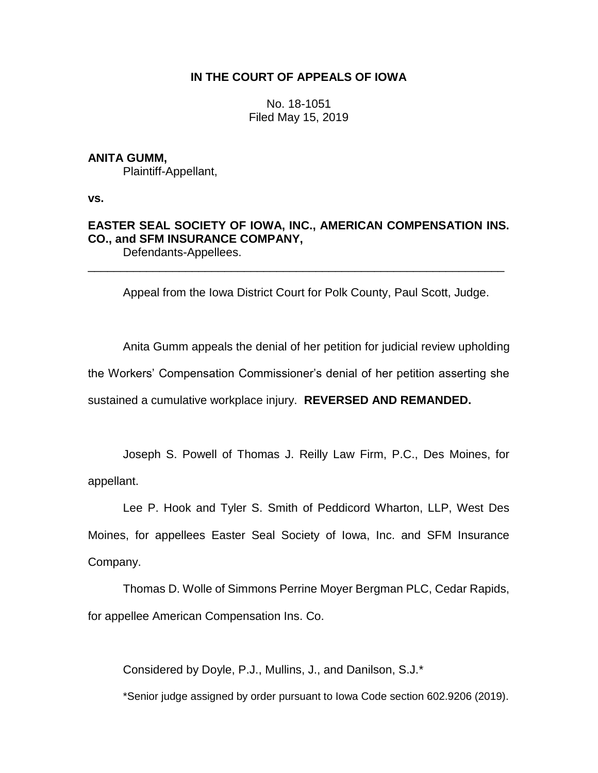## **IN THE COURT OF APPEALS OF IOWA**

No. 18-1051 Filed May 15, 2019

### **ANITA GUMM,**

Plaintiff-Appellant,

**vs.**

# **EASTER SEAL SOCIETY OF IOWA, INC., AMERICAN COMPENSATION INS. CO., and SFM INSURANCE COMPANY,**

Defendants-Appellees. \_\_\_\_\_\_\_\_\_\_\_\_\_\_\_\_\_\_\_\_\_\_\_\_\_\_\_\_\_\_\_\_\_\_\_\_\_\_\_\_\_\_\_\_\_\_\_\_\_\_\_\_\_\_\_\_\_\_\_\_\_\_\_\_

Appeal from the Iowa District Court for Polk County, Paul Scott, Judge.

Anita Gumm appeals the denial of her petition for judicial review upholding the Workers' Compensation Commissioner's denial of her petition asserting she sustained a cumulative workplace injury. **REVERSED AND REMANDED.**

Joseph S. Powell of Thomas J. Reilly Law Firm, P.C., Des Moines, for appellant.

Lee P. Hook and Tyler S. Smith of Peddicord Wharton, LLP, West Des Moines, for appellees Easter Seal Society of Iowa, Inc. and SFM Insurance Company.

Thomas D. Wolle of Simmons Perrine Moyer Bergman PLC, Cedar Rapids, for appellee American Compensation Ins. Co.

Considered by Doyle, P.J., Mullins, J., and Danilson, S.J.\*

\*Senior judge assigned by order pursuant to Iowa Code section 602.9206 (2019).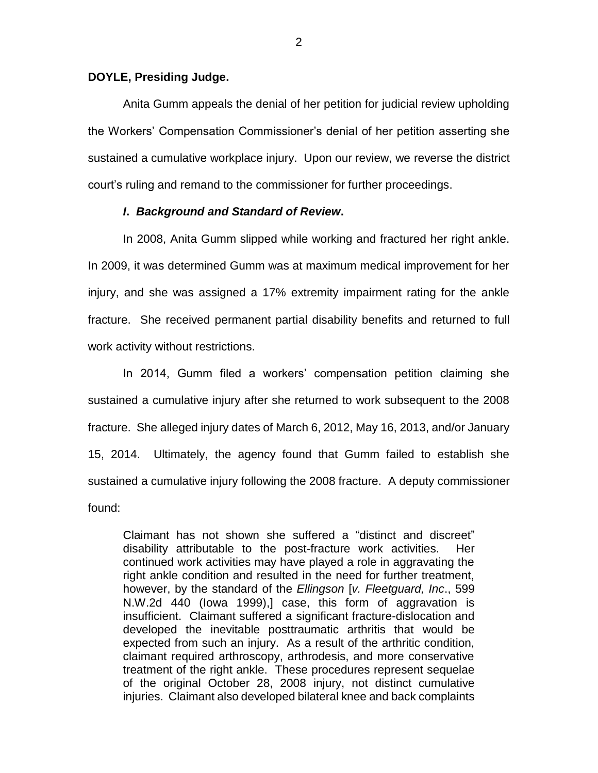#### **DOYLE, Presiding Judge.**

Anita Gumm appeals the denial of her petition for judicial review upholding the Workers' Compensation Commissioner's denial of her petition asserting she sustained a cumulative workplace injury. Upon our review, we reverse the district court's ruling and remand to the commissioner for further proceedings.

#### *I***.** *Background and Standard of Review***.**

In 2008, Anita Gumm slipped while working and fractured her right ankle. In 2009, it was determined Gumm was at maximum medical improvement for her injury, and she was assigned a 17% extremity impairment rating for the ankle fracture. She received permanent partial disability benefits and returned to full work activity without restrictions.

In 2014, Gumm filed a workers' compensation petition claiming she sustained a cumulative injury after she returned to work subsequent to the 2008 fracture. She alleged injury dates of March 6, 2012, May 16, 2013, and/or January 15, 2014. Ultimately, the agency found that Gumm failed to establish she sustained a cumulative injury following the 2008 fracture. A deputy commissioner found:

Claimant has not shown she suffered a "distinct and discreet" disability attributable to the post-fracture work activities. continued work activities may have played a role in aggravating the right ankle condition and resulted in the need for further treatment, however, by the standard of the *Ellingson* [*v. Fleetguard, Inc*., 599 N.W.2d 440 (Iowa 1999),] case, this form of aggravation is insufficient. Claimant suffered a significant fracture-dislocation and developed the inevitable posttraumatic arthritis that would be expected from such an injury. As a result of the arthritic condition, claimant required arthroscopy, arthrodesis, and more conservative treatment of the right ankle. These procedures represent sequelae of the original October 28, 2008 injury, not distinct cumulative injuries. Claimant also developed bilateral knee and back complaints

2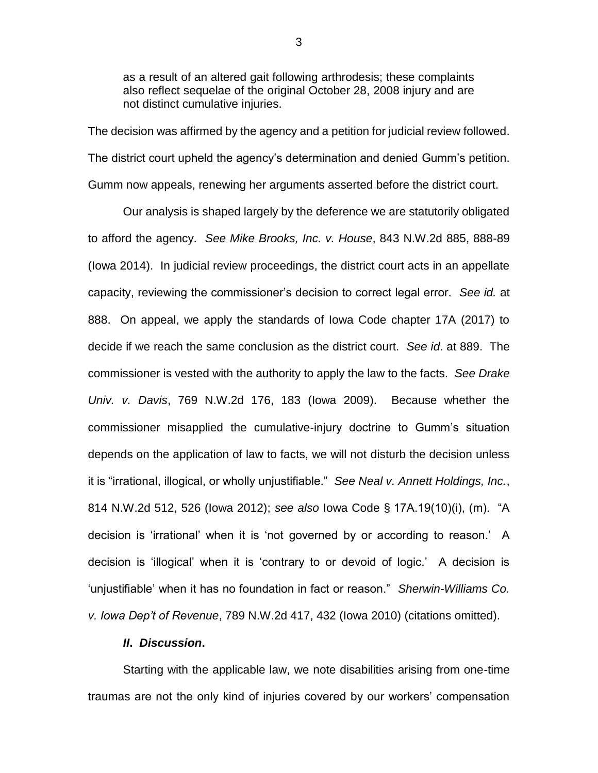as a result of an altered gait following arthrodesis; these complaints also reflect sequelae of the original October 28, 2008 injury and are not distinct cumulative injuries.

The decision was affirmed by the agency and a petition for judicial review followed. The district court upheld the agency's determination and denied Gumm's petition. Gumm now appeals, renewing her arguments asserted before the district court.

Our analysis is shaped largely by the deference we are statutorily obligated to afford the agency. *See Mike Brooks, Inc. v. House*, 843 N.W.2d 885, 888-89 (Iowa 2014). In judicial review proceedings, the district court acts in an appellate capacity, reviewing the commissioner's decision to correct legal error. *See id.* at 888. On appeal, we apply the standards of Iowa Code chapter 17A (2017) to decide if we reach the same conclusion as the district court. *See id*. at 889. The commissioner is vested with the authority to apply the law to the facts. *See Drake Univ. v. Davis*, 769 N.W.2d 176, 183 (Iowa 2009). Because whether the commissioner misapplied the cumulative-injury doctrine to Gumm's situation depends on the application of law to facts, we will not disturb the decision unless it is "irrational, illogical, or wholly unjustifiable." *See Neal v. Annett Holdings, Inc.*, 814 N.W.2d 512, 526 (Iowa 2012); *see also* Iowa Code § 17A.19(10)(i), (m). "A decision is 'irrational' when it is 'not governed by or according to reason.' A decision is 'illogical' when it is 'contrary to or devoid of logic.' A decision is 'unjustifiable' when it has no foundation in fact or reason." *Sherwin-Williams Co. v. Iowa Dep't of Revenue*, 789 N.W.2d 417, 432 (Iowa 2010) (citations omitted).

#### *II***.** *Discussion***.**

Starting with the applicable law, we note disabilities arising from one-time traumas are not the only kind of injuries covered by our workers' compensation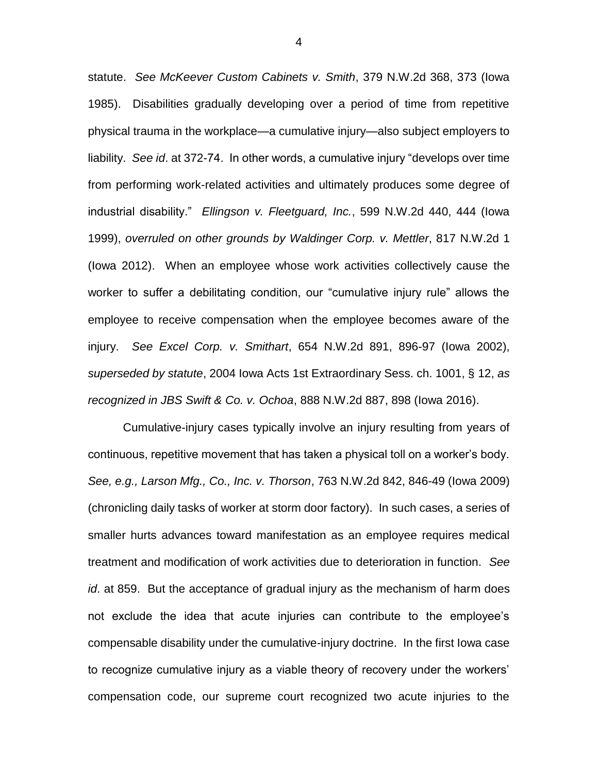statute. *See McKeever Custom Cabinets v. Smith*, 379 N.W.2d 368, 373 (Iowa 1985). Disabilities gradually developing over a period of time from repetitive physical trauma in the workplace—a cumulative injury—also subject employers to liability. *See id*. at 372-74. In other words, a cumulative injury "develops over time from performing work-related activities and ultimately produces some degree of industrial disability." *Ellingson v. Fleetguard, Inc.*, 599 N.W.2d 440, 444 (Iowa 1999), *overruled on other grounds by Waldinger Corp. v. Mettler*, 817 N.W.2d 1 (Iowa 2012). When an employee whose work activities collectively cause the worker to suffer a debilitating condition, our "cumulative injury rule" allows the employee to receive compensation when the employee becomes aware of the injury. *See Excel Corp. v. Smithart*, 654 N.W.2d 891, 896-97 (Iowa 2002), *superseded by statute*, 2004 Iowa Acts 1st Extraordinary Sess. ch. 1001, § 12, *as recognized in JBS Swift & Co. v. Ochoa*, 888 N.W.2d 887, 898 (Iowa 2016).

Cumulative-injury cases typically involve an injury resulting from years of continuous, repetitive movement that has taken a physical toll on a worker's body. *See, e.g., Larson Mfg., Co., Inc. v. Thorson*, 763 N.W.2d 842, 846-49 (Iowa 2009) (chronicling daily tasks of worker at storm door factory). In such cases, a series of smaller hurts advances toward manifestation as an employee requires medical treatment and modification of work activities due to deterioration in function. *See id*. at 859. But the acceptance of gradual injury as the mechanism of harm does not exclude the idea that acute injuries can contribute to the employee's compensable disability under the cumulative-injury doctrine. In the first Iowa case to recognize cumulative injury as a viable theory of recovery under the workers' compensation code, our supreme court recognized two acute injuries to the

4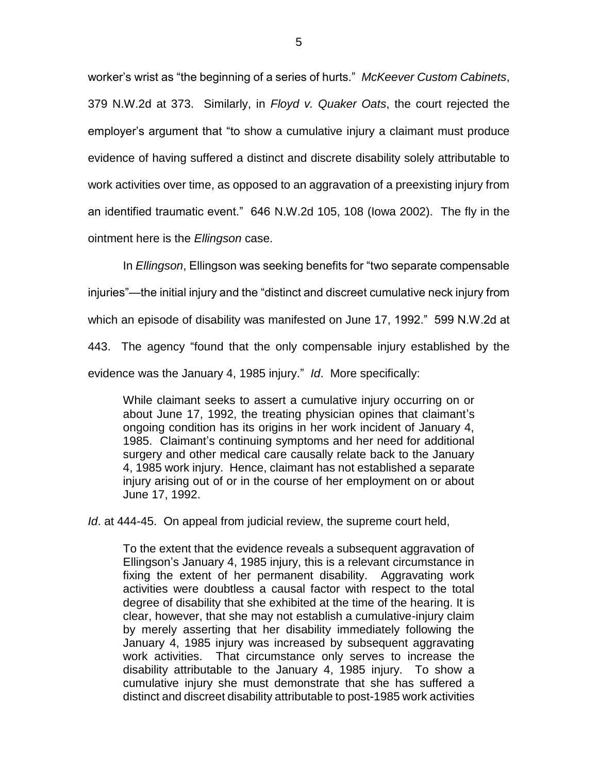worker's wrist as "the beginning of a series of hurts." *McKeever Custom Cabinets*, 379 N.W.2d at 373. Similarly, in *Floyd v. Quaker Oats*, the court rejected the employer's argument that "to show a cumulative injury a claimant must produce evidence of having suffered a distinct and discrete disability solely attributable to work activities over time, as opposed to an aggravation of a preexisting injury from an identified traumatic event." 646 N.W.2d 105, 108 (Iowa 2002). The fly in the ointment here is the *Ellingson* case.

In *Ellingson*, Ellingson was seeking benefits for "two separate compensable injuries"—the initial injury and the "distinct and discreet cumulative neck injury from which an episode of disability was manifested on June 17, 1992." 599 N.W.2d at 443. The agency "found that the only compensable injury established by the evidence was the January 4, 1985 injury." *Id*. More specifically:

While claimant seeks to assert a cumulative injury occurring on or about June 17, 1992, the treating physician opines that claimant's ongoing condition has its origins in her work incident of January 4, 1985. Claimant's continuing symptoms and her need for additional surgery and other medical care causally relate back to the January 4, 1985 work injury. Hence, claimant has not established a separate injury arising out of or in the course of her employment on or about June 17, 1992.

*Id*. at 444-45. On appeal from judicial review, the supreme court held,

To the extent that the evidence reveals a subsequent aggravation of Ellingson's January 4, 1985 injury, this is a relevant circumstance in fixing the extent of her permanent disability. Aggravating work activities were doubtless a causal factor with respect to the total degree of disability that she exhibited at the time of the hearing. It is clear, however, that she may not establish a cumulative-injury claim by merely asserting that her disability immediately following the January 4, 1985 injury was increased by subsequent aggravating work activities. That circumstance only serves to increase the disability attributable to the January 4, 1985 injury. To show a cumulative injury she must demonstrate that she has suffered a distinct and discreet disability attributable to post-1985 work activities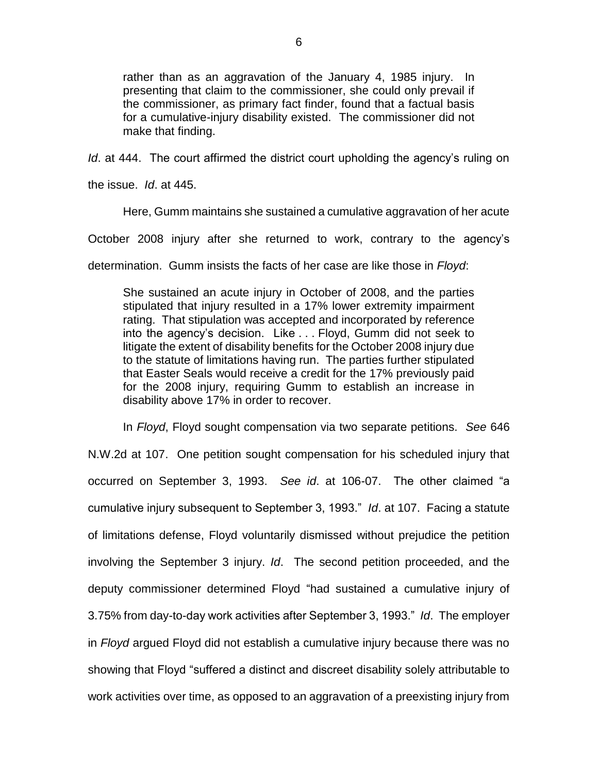rather than as an aggravation of the January 4, 1985 injury. In presenting that claim to the commissioner, she could only prevail if the commissioner, as primary fact finder, found that a factual basis for a cumulative-injury disability existed. The commissioner did not make that finding.

*Id*. at 444. The court affirmed the district court upholding the agency's ruling on

the issue. *Id*. at 445.

Here, Gumm maintains she sustained a cumulative aggravation of her acute

October 2008 injury after she returned to work, contrary to the agency's

determination. Gumm insists the facts of her case are like those in *Floyd*:

She sustained an acute injury in October of 2008, and the parties stipulated that injury resulted in a 17% lower extremity impairment rating. That stipulation was accepted and incorporated by reference into the agency's decision. Like . . . Floyd, Gumm did not seek to litigate the extent of disability benefits for the October 2008 injury due to the statute of limitations having run. The parties further stipulated that Easter Seals would receive a credit for the 17% previously paid for the 2008 injury, requiring Gumm to establish an increase in disability above 17% in order to recover.

In *Floyd*, Floyd sought compensation via two separate petitions. *See* 646 N.W.2d at 107. One petition sought compensation for his scheduled injury that occurred on September 3, 1993. *See id*. at 106-07. The other claimed "a cumulative injury subsequent to September 3, 1993." *Id*. at 107. Facing a statute of limitations defense, Floyd voluntarily dismissed without prejudice the petition involving the September 3 injury. *Id*. The second petition proceeded, and the deputy commissioner determined Floyd "had sustained a cumulative injury of 3.75% from day-to-day work activities after September 3, 1993." *Id*. The employer in *Floyd* argued Floyd did not establish a cumulative injury because there was no showing that Floyd "suffered a distinct and discreet disability solely attributable to work activities over time, as opposed to an aggravation of a preexisting injury from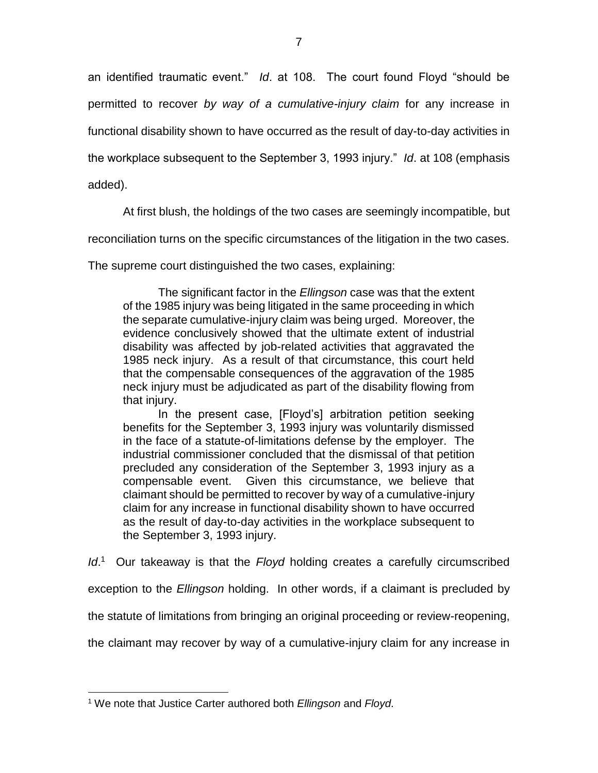an identified traumatic event." *Id*. at 108. The court found Floyd "should be permitted to recover *by way of a cumulative-injury claim* for any increase in functional disability shown to have occurred as the result of day-to-day activities in the workplace subsequent to the September 3, 1993 injury." *Id*. at 108 (emphasis added).

At first blush, the holdings of the two cases are seemingly incompatible, but

reconciliation turns on the specific circumstances of the litigation in the two cases.

The supreme court distinguished the two cases, explaining:

The significant factor in the *Ellingson* case was that the extent of the 1985 injury was being litigated in the same proceeding in which the separate cumulative-injury claim was being urged. Moreover, the evidence conclusively showed that the ultimate extent of industrial disability was affected by job-related activities that aggravated the 1985 neck injury. As a result of that circumstance, this court held that the compensable consequences of the aggravation of the 1985 neck injury must be adjudicated as part of the disability flowing from that injury.

In the present case, [Floyd's] arbitration petition seeking benefits for the September 3, 1993 injury was voluntarily dismissed in the face of a statute-of-limitations defense by the employer. The industrial commissioner concluded that the dismissal of that petition precluded any consideration of the September 3, 1993 injury as a compensable event. Given this circumstance, we believe that claimant should be permitted to recover by way of a cumulative-injury claim for any increase in functional disability shown to have occurred as the result of day-to-day activities in the workplace subsequent to the September 3, 1993 injury.

Id.<sup>1</sup> Our takeaway is that the *Floyd* holding creates a carefully circumscribed

exception to the *Ellingson* holding. In other words, if a claimant is precluded by

the statute of limitations from bringing an original proceeding or review-reopening,

the claimant may recover by way of a cumulative-injury claim for any increase in

 $\overline{a}$ <sup>1</sup> We note that Justice Carter authored both *Ellingson* and *Floyd*.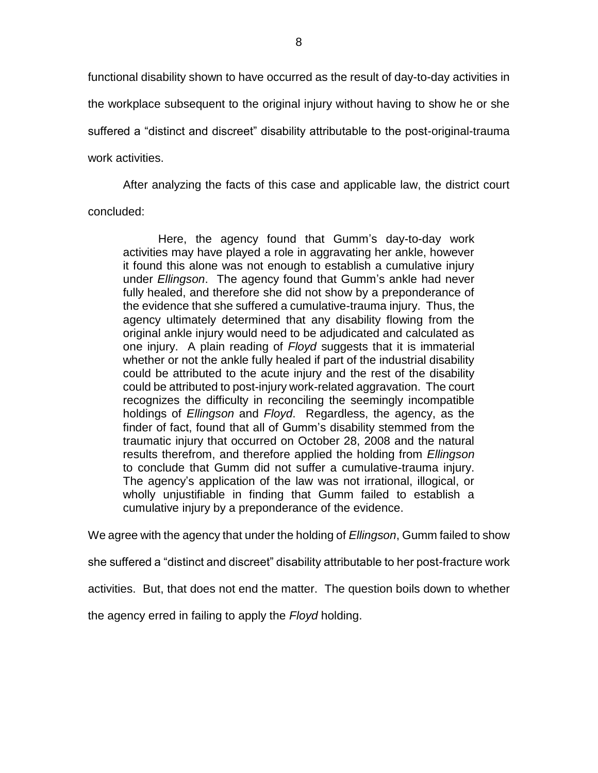functional disability shown to have occurred as the result of day-to-day activities in the workplace subsequent to the original injury without having to show he or she suffered a "distinct and discreet" disability attributable to the post-original-trauma work activities.

After analyzing the facts of this case and applicable law, the district court

concluded:

Here, the agency found that Gumm's day-to-day work activities may have played a role in aggravating her ankle, however it found this alone was not enough to establish a cumulative injury under *Ellingson*. The agency found that Gumm's ankle had never fully healed, and therefore she did not show by a preponderance of the evidence that she suffered a cumulative-trauma injury. Thus, the agency ultimately determined that any disability flowing from the original ankle injury would need to be adjudicated and calculated as one injury. A plain reading of *Floyd* suggests that it is immaterial whether or not the ankle fully healed if part of the industrial disability could be attributed to the acute injury and the rest of the disability could be attributed to post-injury work-related aggravation. The court recognizes the difficulty in reconciling the seemingly incompatible holdings of *Ellingson* and *Floyd*. Regardless, the agency, as the finder of fact, found that all of Gumm's disability stemmed from the traumatic injury that occurred on October 28, 2008 and the natural results therefrom, and therefore applied the holding from *Ellingson* to conclude that Gumm did not suffer a cumulative-trauma injury. The agency's application of the law was not irrational, illogical, or wholly unjustifiable in finding that Gumm failed to establish a cumulative injury by a preponderance of the evidence.

We agree with the agency that under the holding of *Ellingson*, Gumm failed to show

she suffered a "distinct and discreet" disability attributable to her post-fracture work

activities. But, that does not end the matter. The question boils down to whether

the agency erred in failing to apply the *Floyd* holding.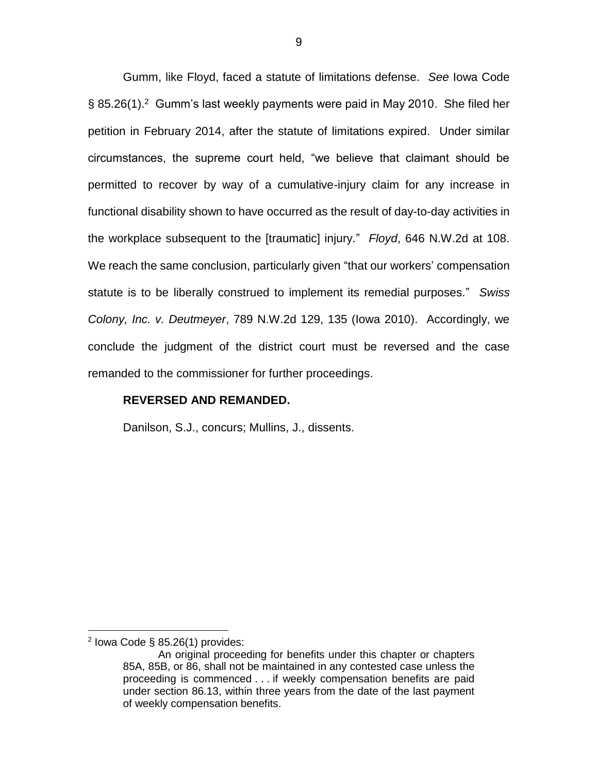Gumm, like Floyd, faced a statute of limitations defense. *See* Iowa Code § 85.26(1).<sup>2</sup> Gumm's last weekly payments were paid in May 2010. She filed her petition in February 2014, after the statute of limitations expired. Under similar circumstances, the supreme court held, "we believe that claimant should be permitted to recover by way of a cumulative-injury claim for any increase in functional disability shown to have occurred as the result of day-to-day activities in the workplace subsequent to the [traumatic] injury." *Floyd*, 646 N.W.2d at 108. We reach the same conclusion, particularly given "that our workers' compensation statute is to be liberally construed to implement its remedial purposes." *Swiss Colony, Inc. v. Deutmeyer*, 789 N.W.2d 129, 135 (Iowa 2010). Accordingly, we conclude the judgment of the district court must be reversed and the case remanded to the commissioner for further proceedings.

#### **REVERSED AND REMANDED.**

Danilson, S.J., concurs; Mullins, J., dissents.

 $\overline{a}$ 

 $2$  lowa Code § 85.26(1) provides:

An original proceeding for benefits under this chapter or chapters 85A, 85B, or 86, shall not be maintained in any contested case unless the proceeding is commenced . . . if weekly compensation benefits are paid under section 86.13, within three years from the date of the last payment of weekly compensation benefits.